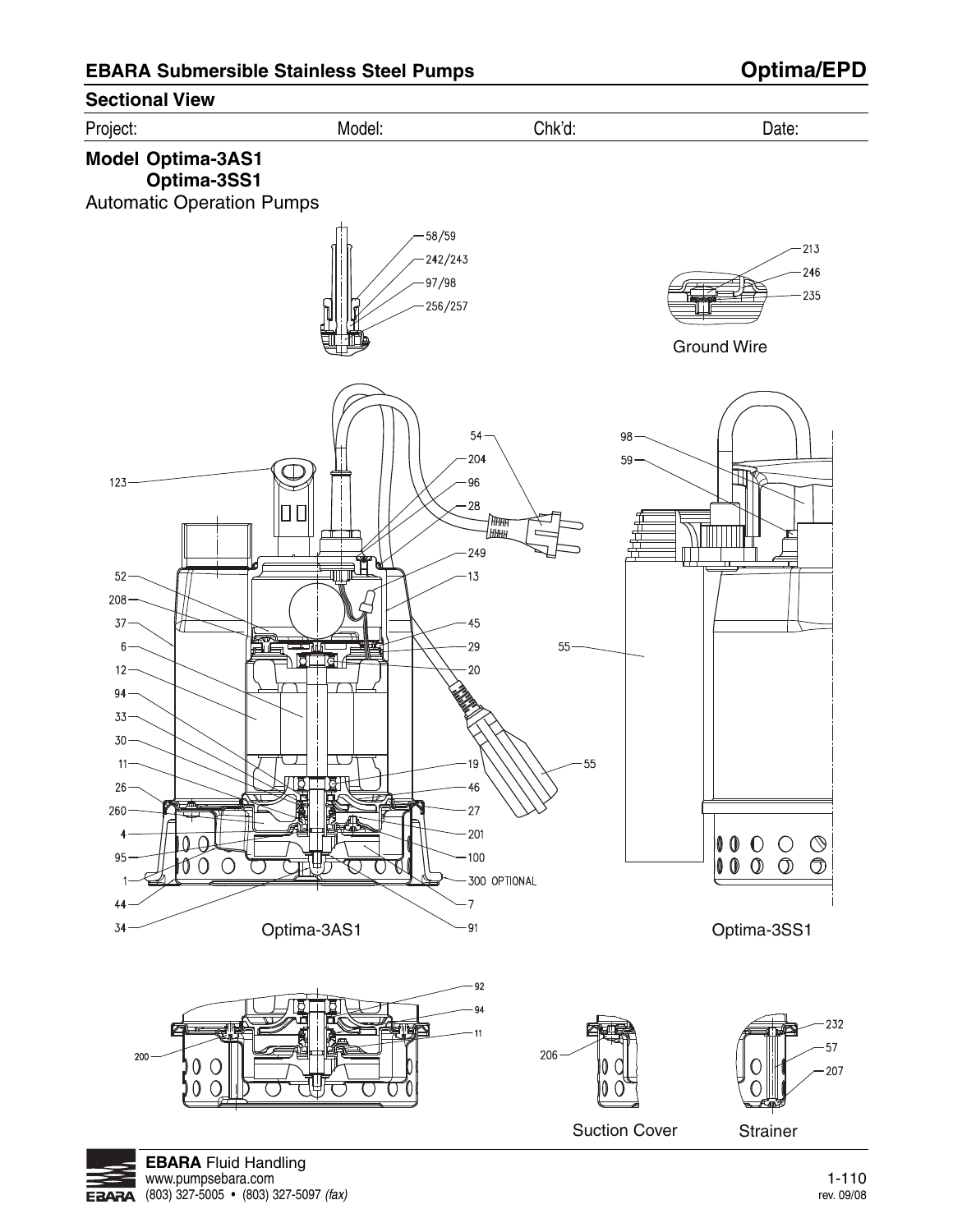

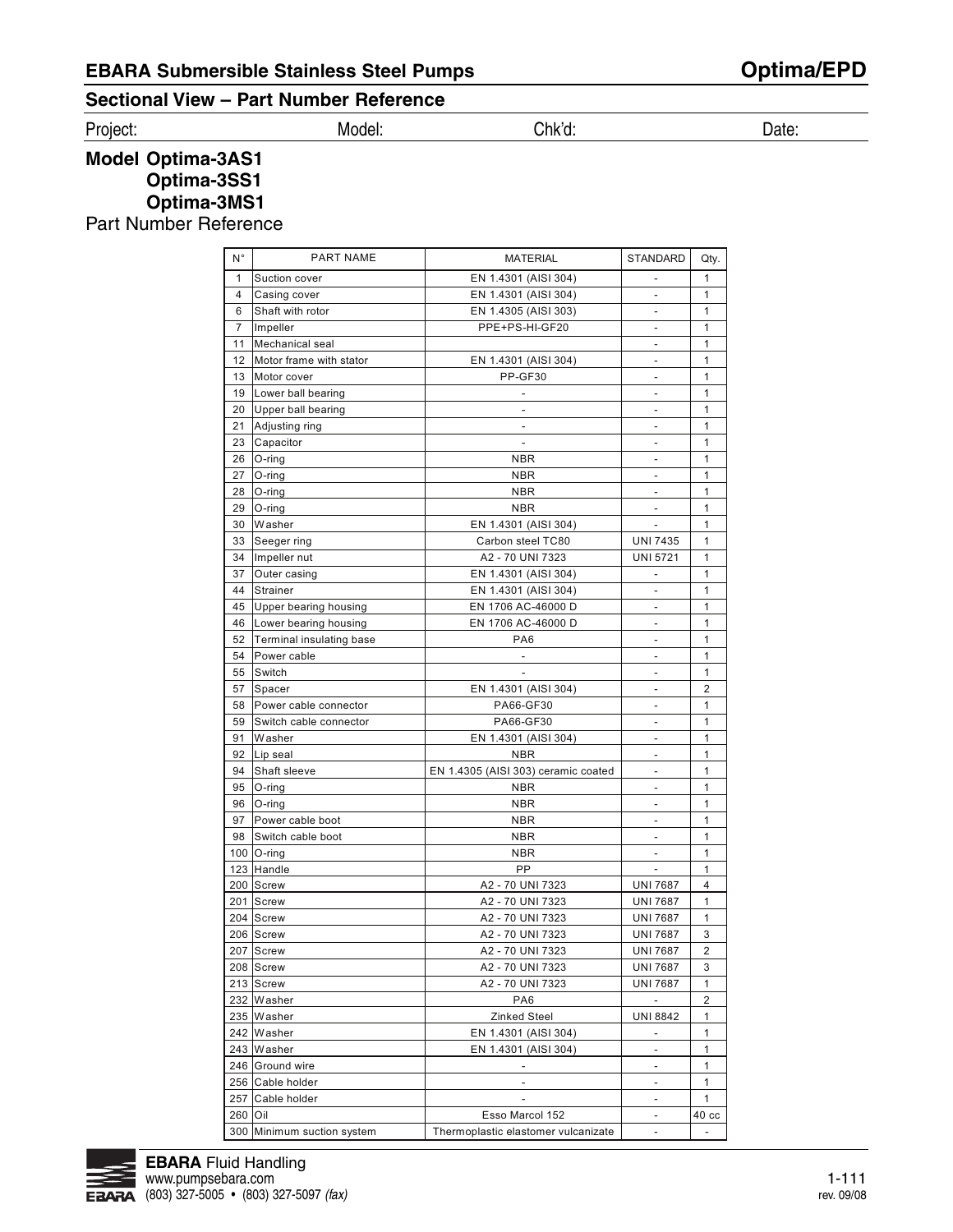## **Sectional View – Part Number Reference**

Project: Model: Chk'd: Date:

**Model Optima-3AS1 Optima-3SS1 Optima-3MS1**

Part Number Reference

| N°             | <b>PART NAME</b>         | <b>MATERIAL</b>                      | STANDARD                           | Qty.             |
|----------------|--------------------------|--------------------------------------|------------------------------------|------------------|
| 1              | Suction cover            | EN 1.4301 (AISI 304)                 | $\overline{\phantom{a}}$           | 1                |
| 4              | Casing cover             | EN 1.4301 (AISI 304)                 | $\overline{\phantom{m}}$           | 1                |
| 6              | Shaft with rotor         | EN 1.4305 (AISI 303)                 |                                    | 1                |
| $\overline{7}$ | Impeller                 | PPE+PS-HI-GF20                       |                                    | 1                |
| 11             | Mechanical seal          |                                      | $\overline{\phantom{a}}$           | 1                |
| 12             | Motor frame with stator  | EN 1.4301 (AISI 304)                 | $\overline{a}$                     | 1                |
| 13             | Motor cover              | PP-GF30                              | $\overline{a}$                     | 1                |
| 19             | Lower ball bearing       |                                      | L,                                 | 1                |
| 20             | Upper ball bearing       |                                      | $\overline{a}$                     | 1                |
| 21             | Adjusting ring           | $\overline{\phantom{a}}$             | $\qquad \qquad \blacksquare$       | 1                |
| 23             | Capacitor                |                                      | L,                                 | 1                |
| 26             | $O$ -ring                | <b>NBR</b>                           | Ĭ.                                 | 1                |
| 27             | O-ring                   | <b>NBR</b>                           | $\overline{a}$                     | 1                |
| 28             |                          | <b>NBR</b>                           |                                    | 1                |
| 29             | O-ring                   |                                      | $\qquad \qquad \blacksquare$<br>L. | 1                |
|                | O-ring                   | <b>NBR</b>                           |                                    |                  |
| 30             | Washer                   | EN 1.4301 (AISI 304)                 | $\overline{a}$                     | 1                |
| 33             | Seeger ring              | Carbon steel TC80                    | <b>UNI 7435</b>                    | 1                |
| 34             | Impeller nut             | A2 - 70 UNI 7323                     | <b>UNI 5721</b>                    | 1                |
| 37             | Outer casing             | EN 1.4301 (AISI 304)                 |                                    | 1                |
| 44             | <b>Strainer</b>          | EN 1.4301 (AISI 304)                 | L,                                 | 1                |
| 45             | Upper bearing housing    | EN 1706 AC-46000 D                   | ÷,                                 | 1                |
| 46             | Lower bearing housing    | EN 1706 AC-46000 D                   | $\overline{a}$                     | 1                |
| 52             | Terminal insulating base | PA <sub>6</sub>                      | $\overline{a}$                     | 1                |
| 54             | Power cable              |                                      | $\overline{\phantom{a}}$           | 1                |
| 55             | Switch                   |                                      |                                    | $\mathbf{1}$     |
| 57             | Spacer                   | EN 1.4301 (AISI 304)                 | $\overline{\phantom{a}}$           | 2                |
| 58             | Power cable connector    | PA66-GF30                            | $\overline{\phantom{a}}$           | 1                |
| 59             | Switch cable connector   | PA66-GF30                            | $\overline{a}$                     | 1                |
| 91             | Washer                   | EN 1.4301 (AISI 304)                 | -                                  | 1                |
| 92             | Lip seal                 | <b>NBR</b>                           | $\qquad \qquad \blacksquare$       | 1                |
| 94             | Shaft sleeve             | EN 1.4305 (AISI 303) ceramic coated  | $\overline{\phantom{m}}$           | 1                |
| 95             | O-ring                   | <b>NBR</b>                           | $\qquad \qquad \blacksquare$       | 1                |
| 96             | $O$ -ring                | <b>NBR</b>                           | $\overline{\phantom{a}}$           | 1                |
| 97             | Power cable boot         | <b>NBR</b>                           | $\overline{\phantom{a}}$           | 1                |
| 98             | Switch cable boot        | <b>NBR</b>                           | $\overline{\phantom{a}}$           | 1                |
|                | 100   O-ring             | <b>NBR</b>                           | ÷,                                 | 1                |
|                | 123 Handle               | РP                                   |                                    | 1                |
|                | 200 Screw                | A2 - 70 UNI 7323                     | <b>UNI 7687</b>                    | 4                |
|                | 201 Screw                | A2 - 70 UNI 7323                     | <b>UNI 7687</b>                    | 1                |
|                | 204 Screw                | A2 - 70 UNI 7323                     | <b>UNI 7687</b>                    | 1                |
|                | 206 Screw                | A2 - 70 UNI 7323                     | <b>UNI 7687</b>                    | 3                |
|                |                          |                                      |                                    |                  |
|                | 207 Screw<br>208 Screw   | A2 - 70 UNI 7323<br>A2 - 70 UNI 7323 | <b>UNI 7687</b>                    | 2                |
|                |                          |                                      | <b>UNI 7687</b>                    | 3                |
|                | 213 Screw                | A2 - 70 UNI 7323                     | <b>UNI 7687</b>                    | 1                |
|                | 232 Washer               | PA <sub>6</sub>                      | $\blacksquare$                     | 2                |
|                | 235 Washer               | <b>Zinked Steel</b>                  | UNI 8842                           | 1                |
|                | 242 Washer               | EN 1.4301 (AISI 304)                 | $\overline{\phantom{a}}$           | 1                |
|                | 243 Washer               | EN 1.4301 (AISI 304)                 | $\overline{a}$                     | 1                |
|                | 246 Ground wire          |                                      | $\overline{a}$                     | 1                |
|                | 256 Cable holder         | ÷.                                   | $\frac{1}{2}$                      | 1                |
|                | 257 Cable holder         | -                                    | $\overline{\phantom{a}}$           | 1                |
| 260 Oil        |                          | Esso Marcol 152                      | $\overline{\phantom{m}}$           | 40 <sub>cc</sub> |
| 300            | Minimum suction system   | Thermoplastic elastomer vulcanizate  | $\overline{\phantom{a}}$           |                  |

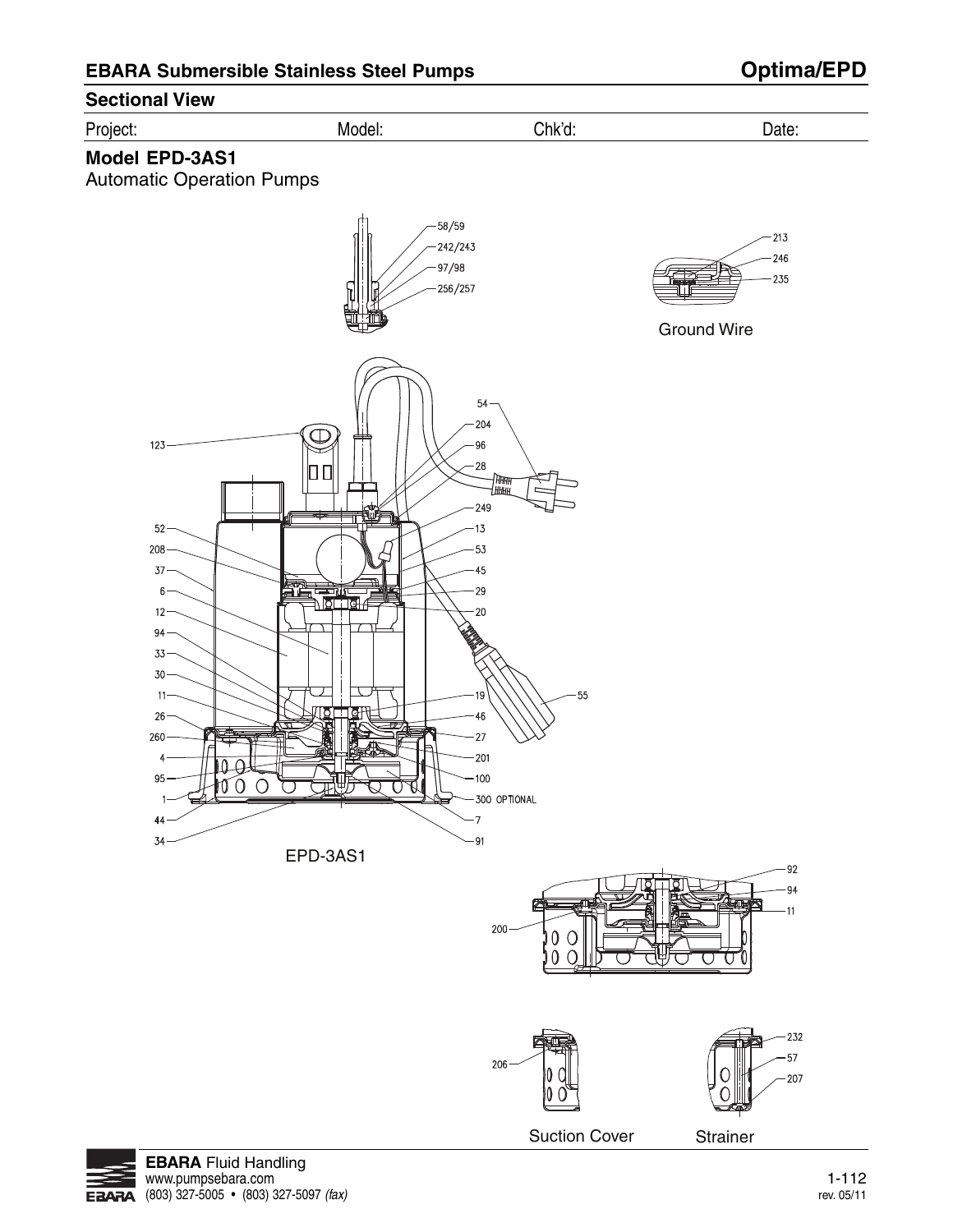

**EBARA**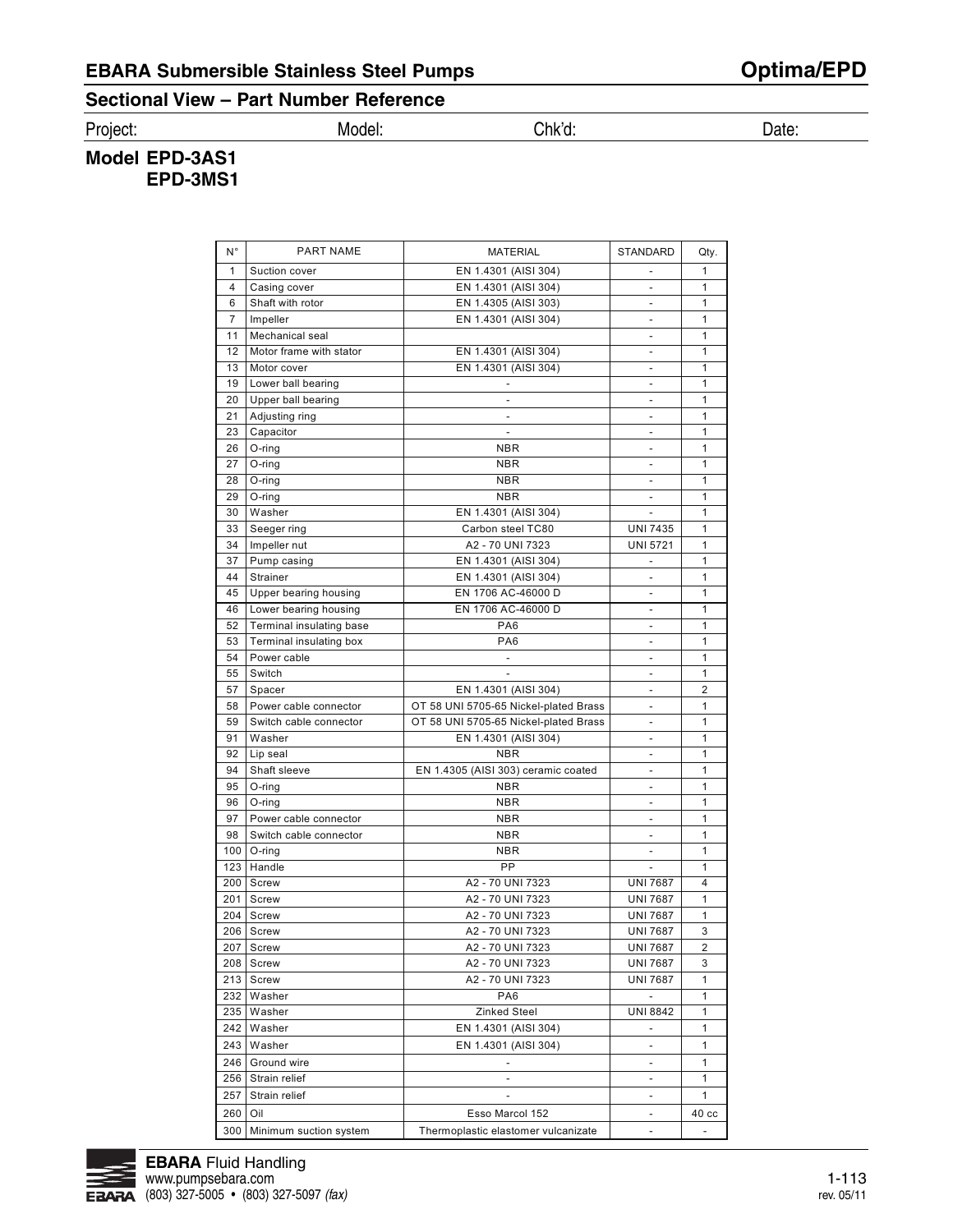# **EBARA Submersible Stainless Steel Pumps Optima/EPD**

### **Sectional View – Part Number Reference**

Project: Model: Chk'd: Date:

### **Model EPD-3AS1 EPD-3MS1**

| N°             | <b>PART NAME</b>         | MATERIAL                              | <b>STANDARD</b>              | Qty.             |
|----------------|--------------------------|---------------------------------------|------------------------------|------------------|
| 1              | Suction cover            | EN 1.4301 (AISI 304)                  |                              | $\mathbf{1}$     |
| 4              | Casing cover             | EN 1.4301 (AISI 304)                  | $\overline{\phantom{a}}$     | 1                |
| 6              | Shaft with rotor         | EN 1.4305 (AISI 303)                  | $\overline{\phantom{a}}$     | 1                |
| $\overline{7}$ | Impeller                 | EN 1.4301 (AISI 304)                  |                              | $\mathbf{1}$     |
| 11             | Mechanical seal          |                                       | $\blacksquare$               | 1                |
| 12             | Motor frame with stator  | EN 1.4301 (AISI 304)                  | $\frac{1}{2}$                | 1                |
| 13             | Motor cover              | EN 1.4301 (AISI 304)                  | $\overline{\phantom{a}}$     | 1                |
| 19             | Lower ball bearing       |                                       | $\overline{\phantom{a}}$     | 1                |
| 20             | Upper ball bearing       | $\overline{\phantom{a}}$              | $\overline{\phantom{a}}$     | 1                |
| 21             | Adjusting ring           |                                       | $\overline{\phantom{a}}$     | 1                |
| 23             | Capacitor                | $\overline{\phantom{a}}$              | $\qquad \qquad \blacksquare$ | 1                |
| 26             | O-ring                   | NBR                                   | $\overline{\phantom{a}}$     | 1                |
| 27             | O-ring                   | NBR                                   | $\overline{\phantom{a}}$     | 1                |
| 28             | O-ring                   | <b>NBR</b>                            | $\overline{a}$               | 1                |
| 29             | O-ring                   | <b>NBR</b>                            | $\overline{a}$               | 1                |
| 30             | Washer                   | EN 1.4301 (AISI 304)                  | $\overline{\phantom{a}}$     | 1                |
| 33             | Seeger ring              | Carbon steel TC80                     | <b>UNI 7435</b>              | 1                |
| 34             | Impeller nut             | A2 - 70 UNI 7323                      | <b>UNI 5721</b>              | 1                |
| 37             | Pump casing              | EN 1.4301 (AISI 304)                  |                              | 1                |
| 44             | Strainer                 | EN 1.4301 (AISI 304)                  | $\overline{\phantom{a}}$     | 1                |
| 45             | Upper bearing housing    | EN 1706 AC-46000 D                    | $\overline{a}$               | 1                |
| 46             | Lower bearing housing    | EN 1706 AC-46000 D                    | $\overline{\phantom{a}}$     | 1                |
| 52             | Terminal insulating base | PA6                                   | $\overline{\phantom{a}}$     | 1                |
| 53             | Terminal insulating box  | PA <sub>6</sub>                       | $\qquad \qquad \blacksquare$ | 1                |
| 54             | Power cable              | $\overline{\phantom{a}}$              | $\overline{\phantom{a}}$     | 1                |
| 55             | Switch                   |                                       | $\overline{\phantom{a}}$     | 1                |
| 57             | Spacer                   | EN 1.4301 (AISI 304)                  | $\overline{\phantom{a}}$     | 2                |
| 58             | Power cable connector    | OT 58 UNI 5705-65 Nickel-plated Brass | $\overline{a}$               | 1                |
| 59             | Switch cable connector   | OT 58 UNI 5705-65 Nickel-plated Brass | $\overline{\phantom{a}}$     | 1                |
| 91             | Washer                   | EN 1.4301 (AISI 304)                  | $\overline{\phantom{a}}$     | 1                |
| 92             | Lip seal                 | <b>NBR</b>                            | $\overline{\phantom{a}}$     | 1                |
| 94             | Shaft sleeve             | EN 1.4305 (AISI 303) ceramic coated   | $\overline{a}$               | 1                |
| 95             | O-ring                   | <b>NBR</b>                            | $\overline{\phantom{a}}$     | 1                |
| 96             | O-ring                   | <b>NBR</b>                            | $\overline{\phantom{a}}$     | $\mathbf{1}$     |
| 97             | Power cable connector    | NBR                                   | $\qquad \qquad \blacksquare$ | 1                |
| 98             | Switch cable connector   | NBR                                   | $\overline{a}$               | 1                |
| 100            | O-ring                   | NBR                                   |                              | $\mathbf{1}$     |
| 123            | Handle                   | PP                                    | $\blacksquare$               | 1                |
| 200            | Screw                    | A2 - 70 UNI 7323                      | <b>UNI 7687</b>              | 4                |
| 201            | Screw                    | A2 - 70 UNI 7323                      | <b>UNI 7687</b>              | 1                |
| 204            | Screw                    | A2 - 70 UNI 7323                      | <b>UNI 7687</b>              | 1                |
|                | 206   Screw              | A2 - 70 UNI 7323                      | <b>UNI 7687</b>              | 3                |
| 207            | Screw                    | A2 - 70 UNI 7323                      | <b>UNI 7687</b>              | 2                |
| 208            | Screw                    | A2 - 70 UNI 7323                      | <b>UNI 7687</b>              | 3                |
|                | 213   Screw              | A2 - 70 UNI 7323                      | <b>UNI 7687</b>              | 1                |
| 232            | Washer                   | PA <sub>6</sub>                       | $\overline{\phantom{a}}$     | 1                |
| 235            | Washer                   | Zinked Steel                          | <b>UNI 8842</b>              | 1                |
| 242            | Washer                   | EN 1.4301 (AISI 304)                  |                              | 1                |
| 243            | Washer                   | EN 1.4301 (AISI 304)                  | $\overline{\phantom{a}}$     | 1                |
| 246            | Ground wire              | $\overline{\phantom{a}}$              | $\overline{\phantom{a}}$     | 1                |
| 256            | Strain relief            | $\overline{\phantom{a}}$              | $\overline{\phantom{a}}$     | 1                |
| 257            | Strain relief            |                                       | $\overline{a}$               | $\mathbf{1}$     |
| 260            | Oil                      | Esso Marcol 152                       |                              | 40 <sub>cc</sub> |
|                |                          |                                       | $\overline{\phantom{a}}$     |                  |
| 300            | Minimum suction system   | Thermoplastic elastomer vulcanizate   | $\overline{a}$               |                  |

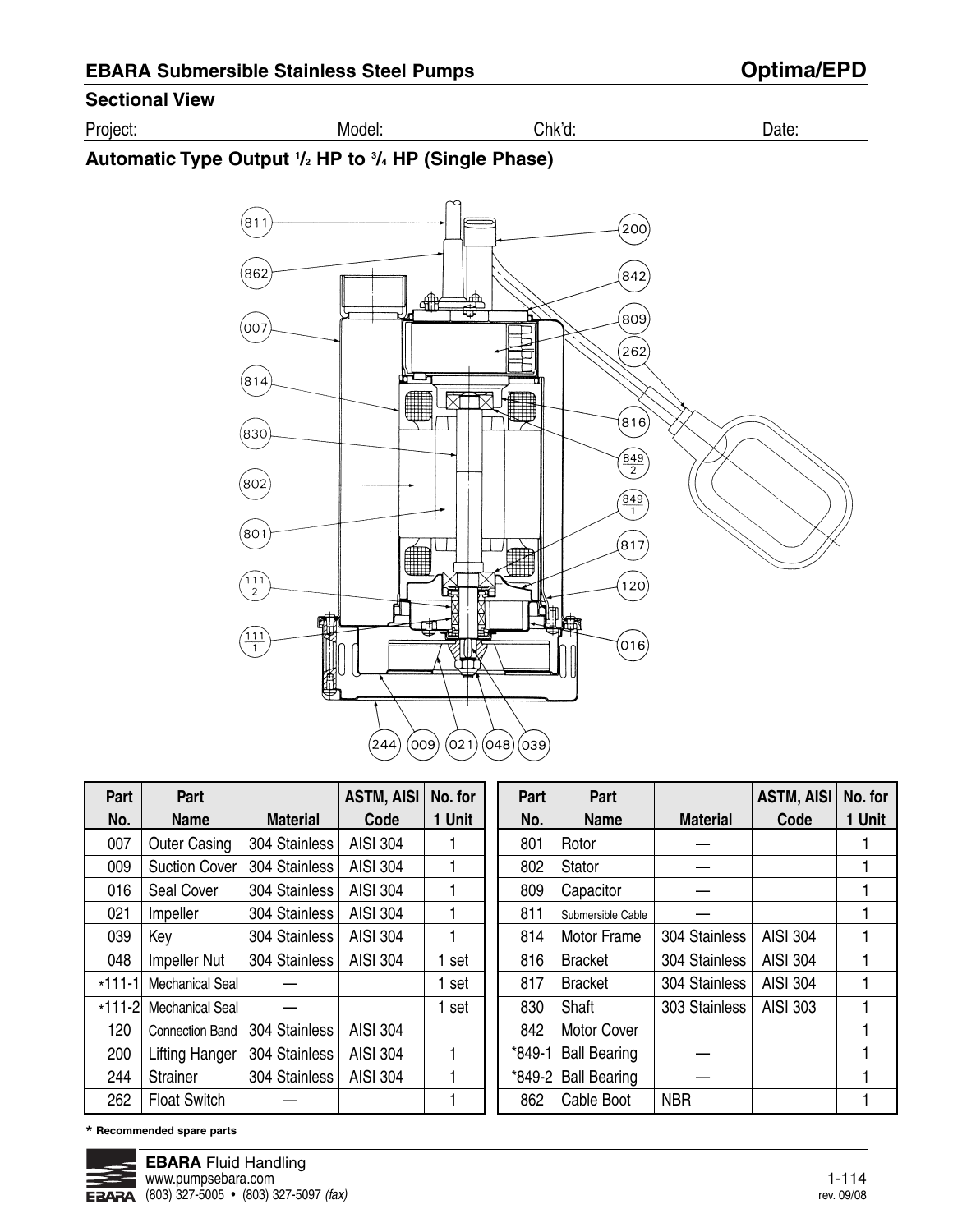## **Sectional View**

| $\overline{\phantom{0}}$<br>یں ر<br>⊶יי | w<br>. | .nĸ<br>______ |  |
|-----------------------------------------|--------|---------------|--|
|                                         |        |               |  |

### **Automatic Type Output 1 /2 HP to 3 /4 HP (Single Phase)**



| Part     | Part                   |                 | <b>ASTM, AISI</b> | No. for | Part     | Part                |                 | <b>ASTM, AISI</b> | No. for |
|----------|------------------------|-----------------|-------------------|---------|----------|---------------------|-----------------|-------------------|---------|
| No.      | <b>Name</b>            | <b>Material</b> | Code              | 1 Unit  | No.      | <b>Name</b>         | <b>Material</b> | Code              | 1 Unit  |
| 007      | <b>Outer Casing</b>    | 304 Stainless   | <b>AISI 304</b>   |         | 801      | Rotor               |                 |                   |         |
| 009      | <b>Suction Cover</b>   | 304 Stainless   | <b>AISI 304</b>   |         | 802      | <b>Stator</b>       |                 |                   |         |
| 016      | Seal Cover             | 304 Stainless   | <b>AISI 304</b>   |         | 809      | Capacitor           |                 |                   |         |
| 021      | Impeller               | 304 Stainless   | <b>AISI 304</b>   |         | 811      | Submersible Cable   |                 |                   |         |
| 039      | Key                    | 304 Stainless   | <b>AISI 304</b>   |         | 814      | <b>Motor Frame</b>  | 304 Stainless   | <b>AISI 304</b>   |         |
| 048      | Impeller Nut           | 304 Stainless   | <b>AISI 304</b>   | set     | 816      | <b>Bracket</b>      | 304 Stainless   | <b>AISI 304</b>   |         |
| $*111-1$ | <b>Mechanical Seal</b> |                 |                   | set     | 817      | <b>Bracket</b>      | 304 Stainless   | <b>AISI 304</b>   |         |
| $*111-2$ | <b>Mechanical Seal</b> |                 |                   | set     | 830      | Shaft               | 303 Stainless   | AISI 303          |         |
| 120      | <b>Connection Band</b> | 304 Stainless   | <b>AISI 304</b>   |         | 842      | <b>Motor Cover</b>  |                 |                   |         |
| 200      | <b>Lifting Hanger</b>  | 304 Stainless   | <b>AISI 304</b>   | 1       | $*849-1$ | <b>Ball Bearing</b> |                 |                   |         |
| 244      | <b>Strainer</b>        | 304 Stainless   | <b>AISI 304</b>   |         | *849-2   | <b>Ball Bearing</b> |                 |                   |         |
| 262      | <b>Float Switch</b>    |                 |                   |         | 862      | Cable Boot          | <b>NBR</b>      |                   |         |

\* **Recommended spare parts**

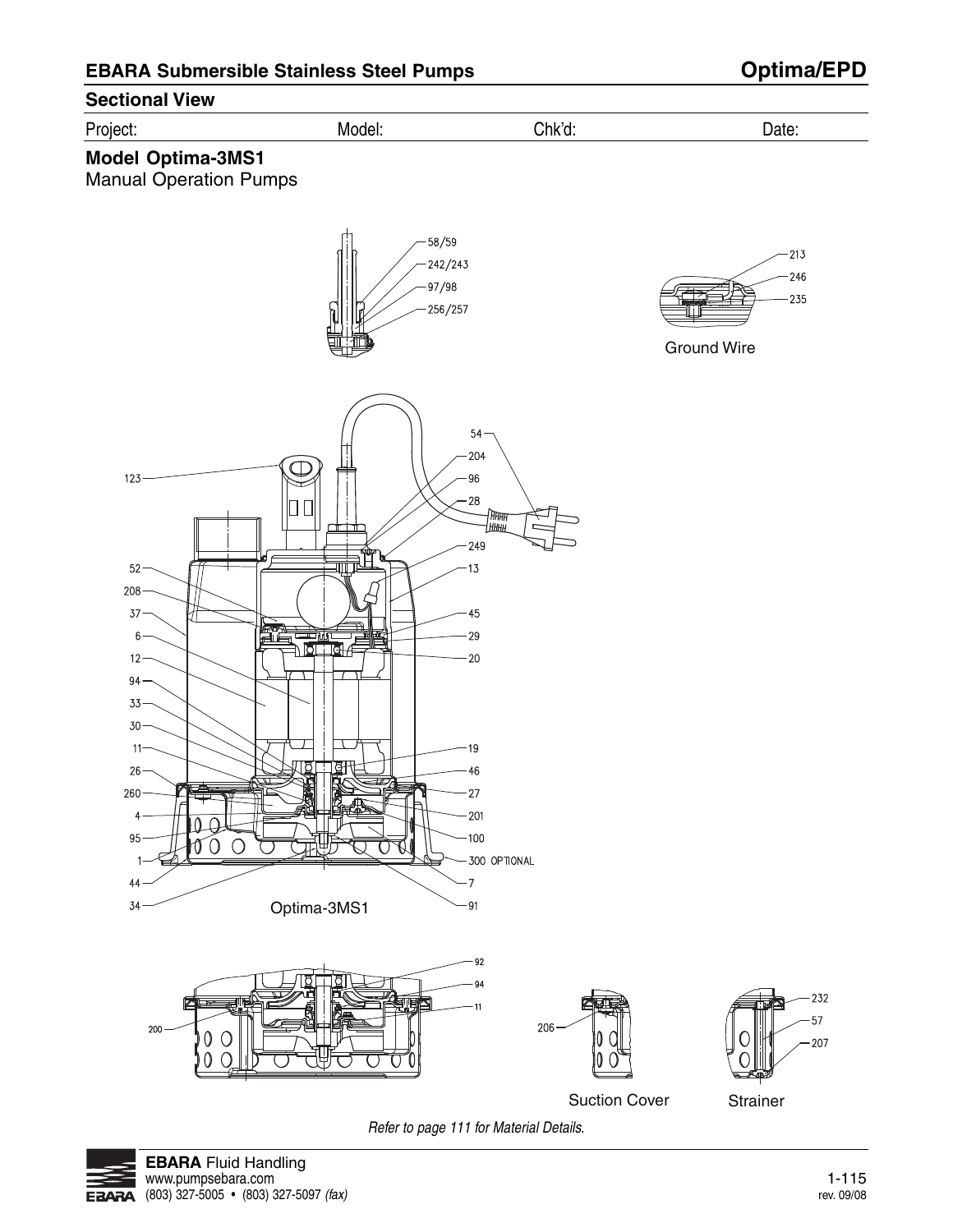

Refer to page 111 for Material Details.

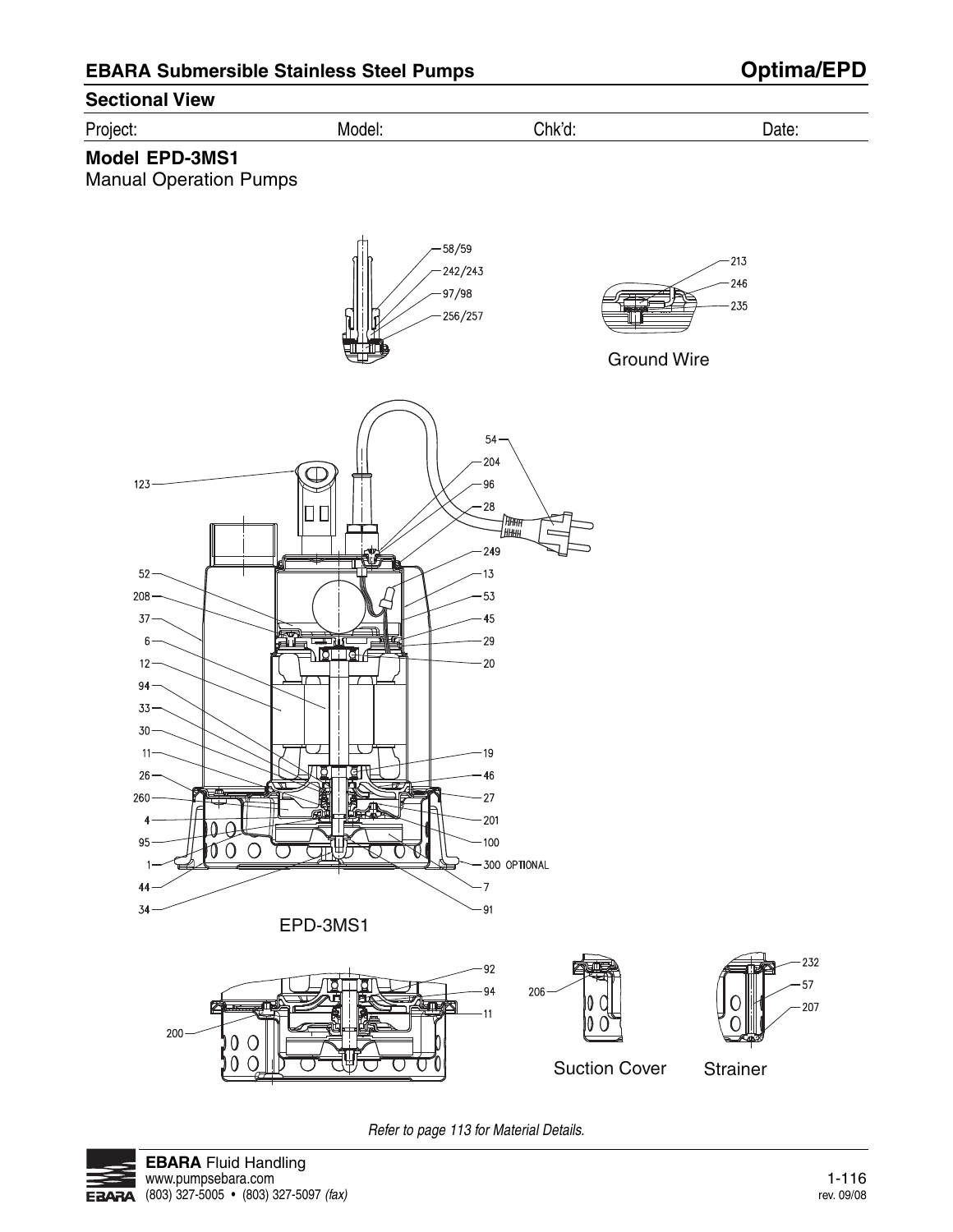

Refer to page 113 for Material Details.

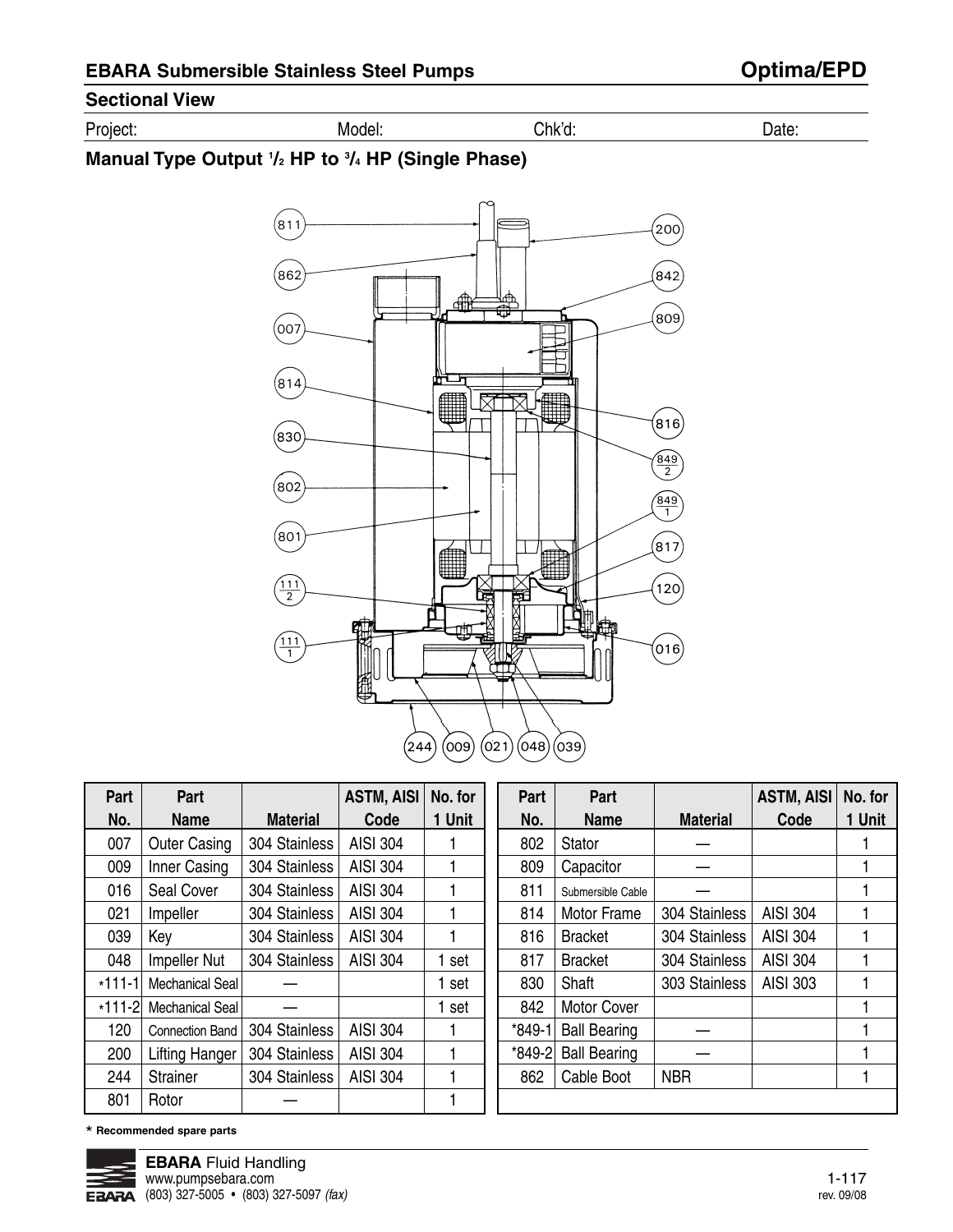## **Sectional View**

| $\overline{\phantom{a}}$<br>$\sim$ $\sim$ $\sim$<br>.<br>، ۱⊔۱۱ | wı<br>____ | . . $n$ k $^{\prime}$ $^{\prime}$ | 1ctc<br>11 F<br> |
|-----------------------------------------------------------------|------------|-----------------------------------|------------------|
|                                                                 |            |                                   |                  |

### **Manual Type Output 1 /2 HP to 3 /4 HP (Single Phase)**



| Part     | Part                   |                 | <b>ASTM, AISI</b> | No. for     | Part     | Part                |                 | <b>ASTM, AISI</b> | No. for |
|----------|------------------------|-----------------|-------------------|-------------|----------|---------------------|-----------------|-------------------|---------|
| No.      | <b>Name</b>            | <b>Material</b> | Code              | <b>Unit</b> | No.      | <b>Name</b>         | <b>Material</b> | Code              | 1 Unit  |
| 007      | <b>Outer Casing</b>    | 304 Stainless   | <b>AISI 304</b>   |             | 802      | Stator              |                 |                   |         |
| 009      | Inner Casing           | 304 Stainless   | <b>AISI 304</b>   |             | 809      | Capacitor           |                 |                   |         |
| 016      | Seal Cover             | 304 Stainless   | <b>AISI 304</b>   |             | 811      | Submersible Cable   |                 |                   |         |
| 021      | Impeller               | 304 Stainless   | <b>AISI 304</b>   |             | 814      | Motor Frame         | 304 Stainless   | <b>AISI 304</b>   |         |
| 039      | Key                    | 304 Stainless   | <b>AISI 304</b>   |             | 816      | <b>Bracket</b>      | 304 Stainless   | <b>AISI 304</b>   |         |
| 048      | Impeller Nut           | 304 Stainless   | <b>AISI 304</b>   | set         | 817      | <b>Bracket</b>      | 304 Stainless   | <b>AISI 304</b>   |         |
| $*111-1$ | <b>Mechanical Seal</b> |                 |                   | set         | 830      | Shaft               | 303 Stainless   | AISI 303          |         |
| $*111-2$ | Mechanical Seal        |                 |                   | set         | 842      | Motor Cover         |                 |                   |         |
| 120      | <b>Connection Band</b> | 304 Stainless   | <b>AISI 304</b>   |             | $*849-1$ | <b>Ball Bearing</b> |                 |                   |         |
| 200      | <b>Lifting Hanger</b>  | 304 Stainless   | <b>AISI 304</b>   |             | *849-2   | <b>Ball Bearing</b> |                 |                   |         |
| 244      | <b>Strainer</b>        | 304 Stainless   | <b>AISI 304</b>   |             | 862      | Cable Boot          | <b>NBR</b>      |                   |         |
| 801      | Rotor                  |                 |                   |             |          |                     |                 |                   |         |

\* **Recommended spare parts**